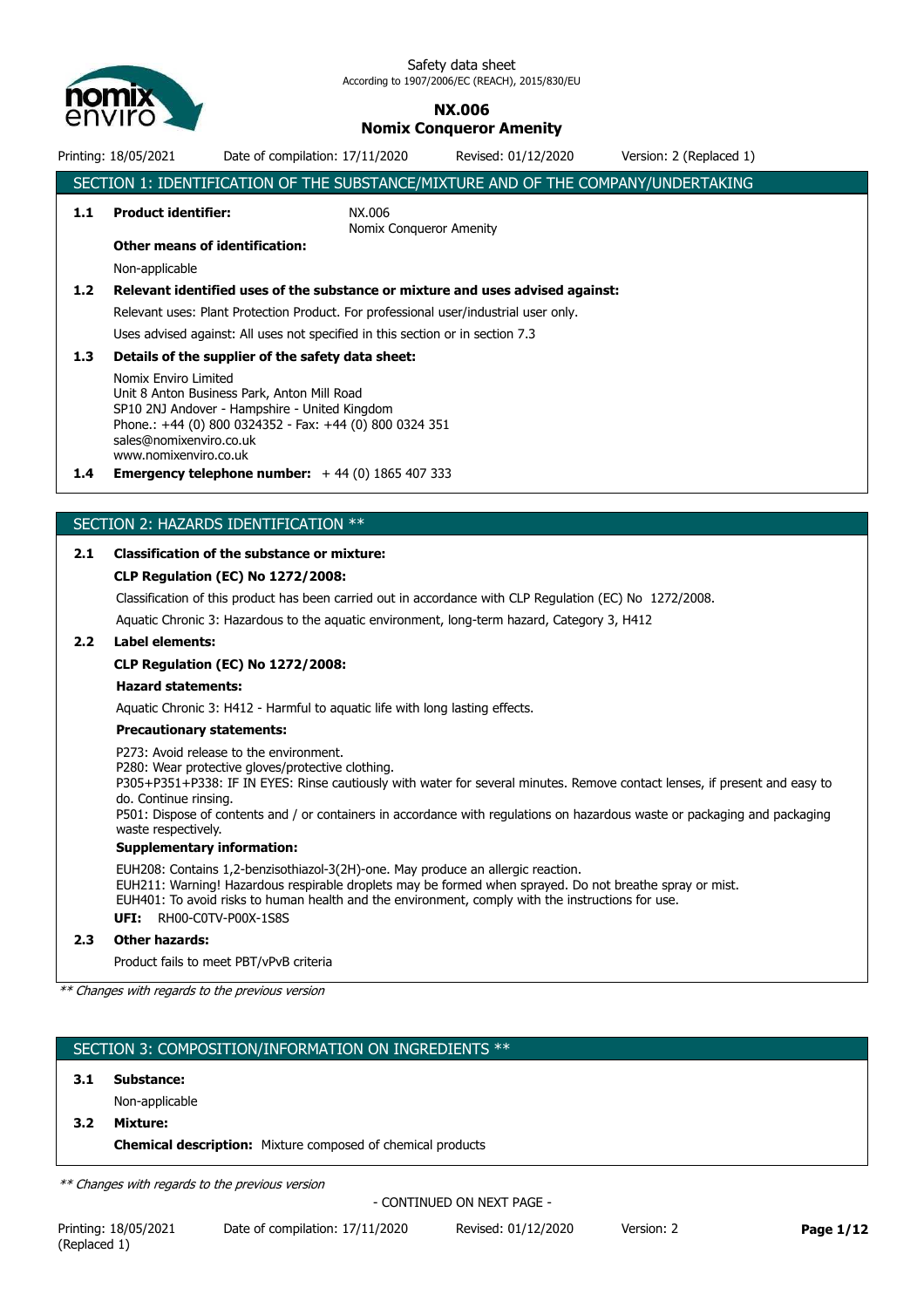

#### **NX.006 Nomix Conqueror Amenity**

Printing: 18/05/2021 Date of compilation: 17/11/2020 Revised: 01/12/2020 Version: 2 (Replaced 1)

|                  |                                                          | SECTION 1: IDENTIFICATION OF THE SUBSTANCE/MIXTURE AND OF THE COMPANY/UNDERTAKING                                                                                                                                                                                                                                                                        |                            |            |           |
|------------------|----------------------------------------------------------|----------------------------------------------------------------------------------------------------------------------------------------------------------------------------------------------------------------------------------------------------------------------------------------------------------------------------------------------------------|----------------------------|------------|-----------|
| 1.1              | <b>Product identifier:</b>                               | NX.006                                                                                                                                                                                                                                                                                                                                                   | Nomix Conqueror Amenity    |            |           |
|                  | <b>Other means of identification:</b>                    |                                                                                                                                                                                                                                                                                                                                                          |                            |            |           |
|                  | Non-applicable                                           |                                                                                                                                                                                                                                                                                                                                                          |                            |            |           |
| 1.2 <sub>2</sub> |                                                          | Relevant identified uses of the substance or mixture and uses advised against:                                                                                                                                                                                                                                                                           |                            |            |           |
|                  |                                                          | Relevant uses: Plant Protection Product. For professional user/industrial user only.                                                                                                                                                                                                                                                                     |                            |            |           |
|                  |                                                          | Uses advised against: All uses not specified in this section or in section 7.3                                                                                                                                                                                                                                                                           |                            |            |           |
| 1.3              |                                                          | Details of the supplier of the safety data sheet:                                                                                                                                                                                                                                                                                                        |                            |            |           |
|                  | Nomix Enviro Limited                                     | Unit 8 Anton Business Park, Anton Mill Road                                                                                                                                                                                                                                                                                                              |                            |            |           |
|                  |                                                          | SP10 2NJ Andover - Hampshire - United Kingdom                                                                                                                                                                                                                                                                                                            |                            |            |           |
|                  |                                                          | Phone.: +44 (0) 800 0324352 - Fax: +44 (0) 800 0324 351                                                                                                                                                                                                                                                                                                  |                            |            |           |
|                  | sales@nomixenviro.co.uk<br>www.nomixenviro.co.uk         |                                                                                                                                                                                                                                                                                                                                                          |                            |            |           |
| $1.4^{\circ}$    |                                                          | <b>Emergency telephone number:</b> $+44$ (0) 1865 407 333                                                                                                                                                                                                                                                                                                |                            |            |           |
|                  |                                                          | SECTION 2: HAZARDS IDENTIFICATION **                                                                                                                                                                                                                                                                                                                     |                            |            |           |
|                  |                                                          |                                                                                                                                                                                                                                                                                                                                                          |                            |            |           |
| 2.1              |                                                          | <b>Classification of the substance or mixture:</b>                                                                                                                                                                                                                                                                                                       |                            |            |           |
|                  |                                                          | <b>CLP Regulation (EC) No 1272/2008:</b>                                                                                                                                                                                                                                                                                                                 |                            |            |           |
|                  |                                                          | Classification of this product has been carried out in accordance with CLP Regulation (EC) No 1272/2008.                                                                                                                                                                                                                                                 |                            |            |           |
|                  |                                                          | Aquatic Chronic 3: Hazardous to the aquatic environment, long-term hazard, Category 3, H412                                                                                                                                                                                                                                                              |                            |            |           |
| 2.2 <sub>2</sub> | <b>Label elements:</b>                                   |                                                                                                                                                                                                                                                                                                                                                          |                            |            |           |
|                  |                                                          | <b>CLP Regulation (EC) No 1272/2008:</b>                                                                                                                                                                                                                                                                                                                 |                            |            |           |
|                  | <b>Hazard statements:</b>                                |                                                                                                                                                                                                                                                                                                                                                          |                            |            |           |
|                  |                                                          | Aquatic Chronic 3: H412 - Harmful to aquatic life with long lasting effects.                                                                                                                                                                                                                                                                             |                            |            |           |
|                  | <b>Precautionary statements:</b>                         |                                                                                                                                                                                                                                                                                                                                                          |                            |            |           |
|                  | do. Continue rinsing.                                    | P273: Avoid release to the environment.<br>P280: Wear protective gloves/protective clothing.<br>P305+P351+P338: IF IN EYES: Rinse cautiously with water for several minutes. Remove contact lenses, if present and easy to<br>P501: Dispose of contents and / or containers in accordance with regulations on hazardous waste or packaging and packaging |                            |            |           |
|                  | waste respectively.<br><b>Supplementary information:</b> |                                                                                                                                                                                                                                                                                                                                                          |                            |            |           |
|                  |                                                          | EUH208: Contains 1,2-benzisothiazol-3(2H)-one. May produce an allergic reaction.                                                                                                                                                                                                                                                                         |                            |            |           |
|                  | UFI:                                                     | EUH211: Warning! Hazardous respirable droplets may be formed when sprayed. Do not breathe spray or mist.<br>EUH401: To avoid risks to human health and the environment, comply with the instructions for use.<br>RH00-C0TV-P00X-1S8S                                                                                                                     |                            |            |           |
| 2.3              | <b>Other hazards:</b>                                    |                                                                                                                                                                                                                                                                                                                                                          |                            |            |           |
|                  |                                                          | Product fails to meet PBT/vPvB criteria                                                                                                                                                                                                                                                                                                                  |                            |            |           |
|                  | ** Changes with regards to the previous version          |                                                                                                                                                                                                                                                                                                                                                          |                            |            |           |
|                  |                                                          |                                                                                                                                                                                                                                                                                                                                                          |                            |            |           |
|                  |                                                          |                                                                                                                                                                                                                                                                                                                                                          |                            |            |           |
|                  |                                                          | SECTION 3: COMPOSITION/INFORMATION ON INGREDIENTS **                                                                                                                                                                                                                                                                                                     |                            |            |           |
| 3.1              | <b>Substance:</b>                                        |                                                                                                                                                                                                                                                                                                                                                          |                            |            |           |
|                  | Non-applicable                                           |                                                                                                                                                                                                                                                                                                                                                          |                            |            |           |
| 3.2              | <b>Mixture:</b>                                          |                                                                                                                                                                                                                                                                                                                                                          |                            |            |           |
|                  |                                                          | <b>Chemical description:</b> Mixture composed of chemical products                                                                                                                                                                                                                                                                                       |                            |            |           |
|                  | ** Changes with regards to the previous version          |                                                                                                                                                                                                                                                                                                                                                          |                            |            |           |
|                  |                                                          |                                                                                                                                                                                                                                                                                                                                                          | - CONTINUED ON NEXT PAGE - |            |           |
| (Replaced 1)     | Printing: 18/05/2021                                     | Date of compilation: 17/11/2020                                                                                                                                                                                                                                                                                                                          | Revised: 01/12/2020        | Version: 2 | Page 1/12 |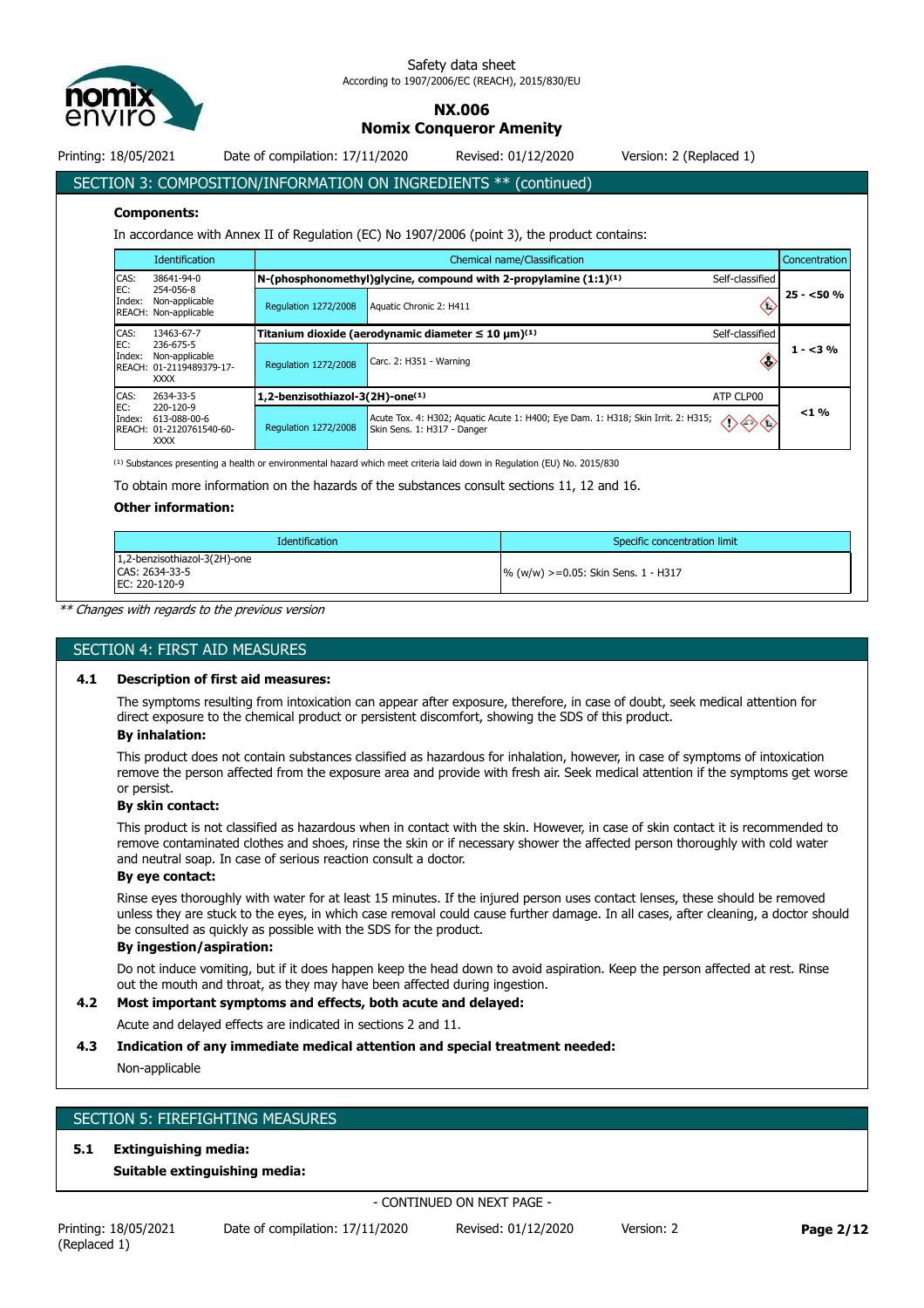

**NX.006**

**Nomix Conqueror Amenity**

Printing: 18/05/2021 Date of compilation: 17/11/2020 Revised: 01/12/2020 Version: 2 (Replaced 1)

SECTION 3: COMPOSITION/INFORMATION ON INGREDIENTS \*\* (continued)

#### **Components:**

In accordance with Annex II of Regulation (EC) No 1907/2006 (point 3), the product contains:

|                    | <b>Identification</b>                                                  |                                 | Chemical name/Classification<br>Concentration                                                                                        |            |  |
|--------------------|------------------------------------------------------------------------|---------------------------------|--------------------------------------------------------------------------------------------------------------------------------------|------------|--|
| CAS:               | 38641-94-0                                                             |                                 | N-(phosphonomethyl)qlycine, compound with 2-propylamine $(1:1)^{(1)}$<br>Self-classified                                             |            |  |
| EC:<br>Index:      | 254-056-8<br>Non-applicable<br>REACH: Non-applicable                   | <b>Regulation 1272/2008</b>     | Aquatic Chronic 2: H411                                                                                                              | $25 - 50%$ |  |
| CAS:<br>13463-67-7 |                                                                        |                                 | Titanium dioxide (aerodynamic diameter $\leq 10 \ \mu m^{(1)}$<br>Self-classified                                                    |            |  |
| EC:<br>Index:      | 236-675-5<br>Non-applicable<br>REACH: 01-2119489379-17-<br><b>XXXX</b> | <b>Regulation 1272/2008</b>     | Carc. 2: H351 - Warning<br>Œ                                                                                                         | $1 - 3\%$  |  |
| CAS:               | 2634-33-5                                                              | 1,2-benzisothiazol-3(2H)-one(1) | ATP CLP00                                                                                                                            |            |  |
| EC:<br>Index:      | 220-120-9<br>613-088-00-6<br>REACH: 01-2120761540-60-<br><b>XXXX</b>   | <b>Regulation 1272/2008</b>     | Acute Tox. 4: H302; Aquatic Acute 1: H400; Eye Dam. 1: H318; Skin Irrit. 2: H315;<br>$\bigtriangleup$<br>Skin Sens. 1: H317 - Danger | $< 1 \%$   |  |

 $^{(1)}$  Substances presenting a health or environmental hazard which meet criteria laid down in Regulation (EU) No. 2015/830

To obtain more information on the hazards of the substances consult sections 11, 12 and 16.

#### **Other information:**

| <b>Identification</b>                                           | Specific concentration limit           |
|-----------------------------------------------------------------|----------------------------------------|
| 1,2-benzisothiazol-3(2H)-one<br>CAS: 2634-33-5<br>EC: 220-120-9 | $\%$ (w/w) >=0.05: Skin Sens. 1 - H317 |

*\*\* Changes with regards to the previous version*

#### SECTION 4: FIRST AID MEASURES

#### **4.1 Description of first aid measures:**

The symptoms resulting from intoxication can appear after exposure, therefore, in case of doubt, seek medical attention for direct exposure to the chemical product or persistent discomfort, showing the SDS of this product.

#### **By inhalation:**

This product does not contain substances classified as hazardous for inhalation, however, in case of symptoms of intoxication remove the person affected from the exposure area and provide with fresh air. Seek medical attention if the symptoms get worse or persist.

#### **By skin contact:**

This product is not classified as hazardous when in contact with the skin. However, in case of skin contact it is recommended to remove contaminated clothes and shoes, rinse the skin or if necessary shower the affected person thoroughly with cold water and neutral soap. In case of serious reaction consult a doctor.

#### **By eye contact:**

Rinse eyes thoroughly with water for at least 15 minutes. If the injured person uses contact lenses, these should be removed unless they are stuck to the eyes, in which case removal could cause further damage. In all cases, after cleaning, a doctor should be consulted as quickly as possible with the SDS for the product.

#### **By ingestion/aspiration:**

Do not induce vomiting, but if it does happen keep the head down to avoid aspiration. Keep the person affected at rest. Rinse out the mouth and throat, as they may have been affected during ingestion.

#### **4.2 Most important symptoms and effects, both acute and delayed:**

Acute and delayed effects are indicated in sections 2 and 11.

#### **4.3 Indication of any immediate medical attention and special treatment needed:**

Non-applicable

#### SECTION 5: FIREFIGHTING MEASURES

#### **5.1 Extinguishing media:**

**Suitable extinguishing media:**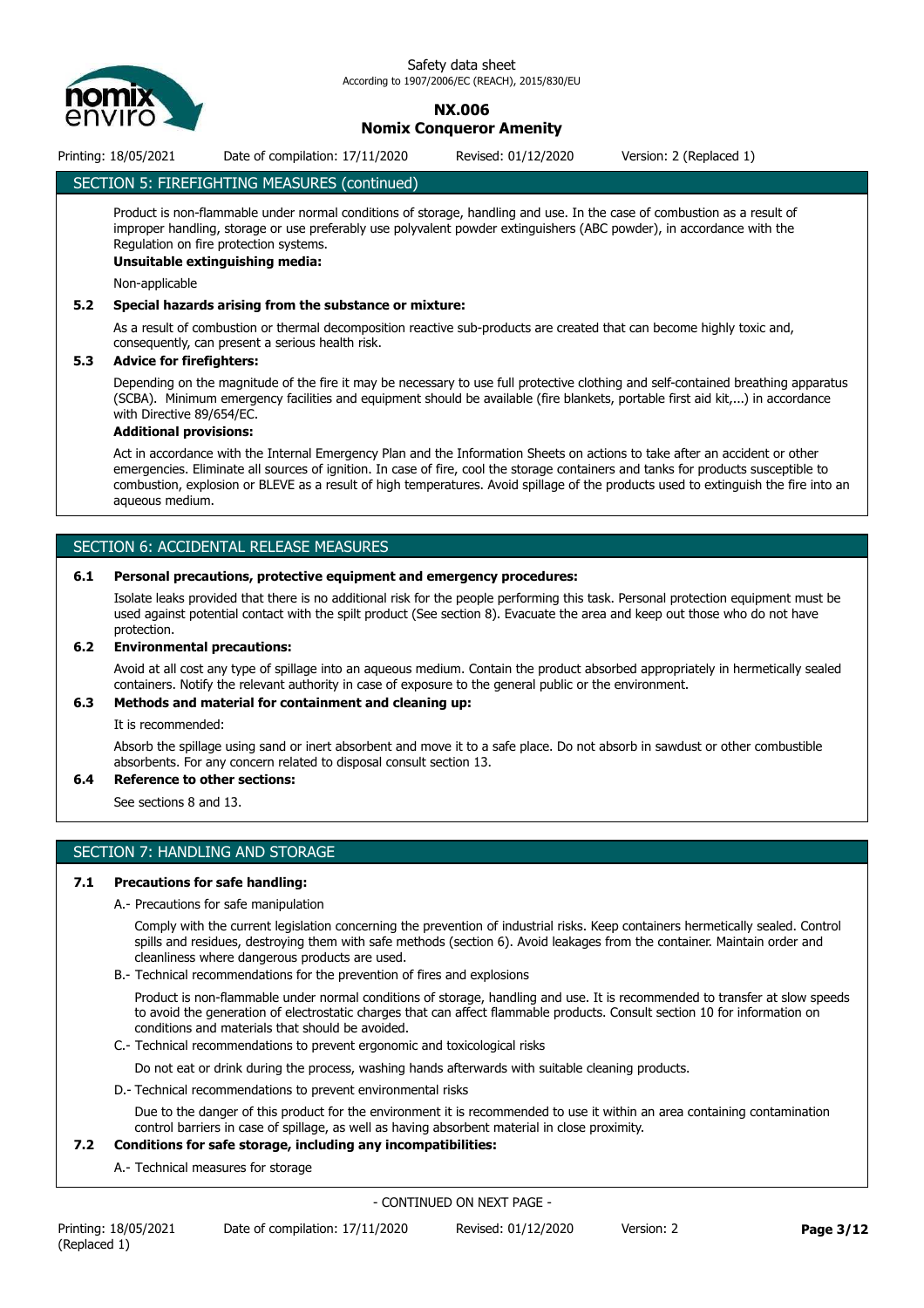

#### **NX.006 Nomix Conqueror Amenity**

Printing: 18/05/2021 Date of compilation: 17/11/2020 Revised: 01/12/2020 Version: 2 (Replaced 1)

#### SECTION 5: FIREFIGHTING MEASURES (continued)

Product is non-flammable under normal conditions of storage, handling and use. In the case of combustion as a result of improper handling, storage or use preferably use polyvalent powder extinguishers (ABC powder), in accordance with the Regulation on fire protection systems.

#### **Unsuitable extinguishing media:**

Non-applicable

#### **5.2 Special hazards arising from the substance or mixture:**

As a result of combustion or thermal decomposition reactive sub-products are created that can become highly toxic and, consequently, can present a serious health risk.

#### **5.3 Advice for firefighters:**

Depending on the magnitude of the fire it may be necessary to use full protective clothing and self-contained breathing apparatus (SCBA). Minimum emergency facilities and equipment should be available (fire blankets, portable first aid kit,...) in accordance with Directive 89/654/EC.

#### **Additional provisions:**

Act in accordance with the Internal Emergency Plan and the Information Sheets on actions to take after an accident or other emergencies. Eliminate all sources of ignition. In case of fire, cool the storage containers and tanks for products susceptible to combustion, explosion or BLEVE as a result of high temperatures. Avoid spillage of the products used to extinguish the fire into an aqueous medium.

#### SECTION 6: ACCIDENTAL RELEASE MEASURES

#### **6.1 Personal precautions, protective equipment and emergency procedures:**

Isolate leaks provided that there is no additional risk for the people performing this task. Personal protection equipment must be used against potential contact with the spilt product (See section 8). Evacuate the area and keep out those who do not have protection.

#### **6.2 Environmental precautions:**

Avoid at all cost any type of spillage into an aqueous medium. Contain the product absorbed appropriately in hermetically sealed containers. Notify the relevant authority in case of exposure to the general public or the environment.

#### **6.3 Methods and material for containment and cleaning up:**

It is recommended:

Absorb the spillage using sand or inert absorbent and move it to a safe place. Do not absorb in sawdust or other combustible absorbents. For any concern related to disposal consult section 13.

#### **6.4 Reference to other sections:**

See sections 8 and 13.

#### SECTION 7: HANDLING AND STORAGE

#### **7.1 Precautions for safe handling:**

A.- Precautions for safe manipulation

Comply with the current legislation concerning the prevention of industrial risks. Keep containers hermetically sealed. Control spills and residues, destroying them with safe methods (section 6). Avoid leakages from the container. Maintain order and cleanliness where dangerous products are used.

B.- Technical recommendations for the prevention of fires and explosions

Product is non-flammable under normal conditions of storage, handling and use. It is recommended to transfer at slow speeds to avoid the generation of electrostatic charges that can affect flammable products. Consult section 10 for information on conditions and materials that should be avoided.

C.- Technical recommendations to prevent ergonomic and toxicological risks

Do not eat or drink during the process, washing hands afterwards with suitable cleaning products.

D.- Technical recommendations to prevent environmental risks

Due to the danger of this product for the environment it is recommended to use it within an area containing contamination control barriers in case of spillage, as well as having absorbent material in close proximity.

#### **7.2 Conditions for safe storage, including any incompatibilities:**

A.- Technical measures for storage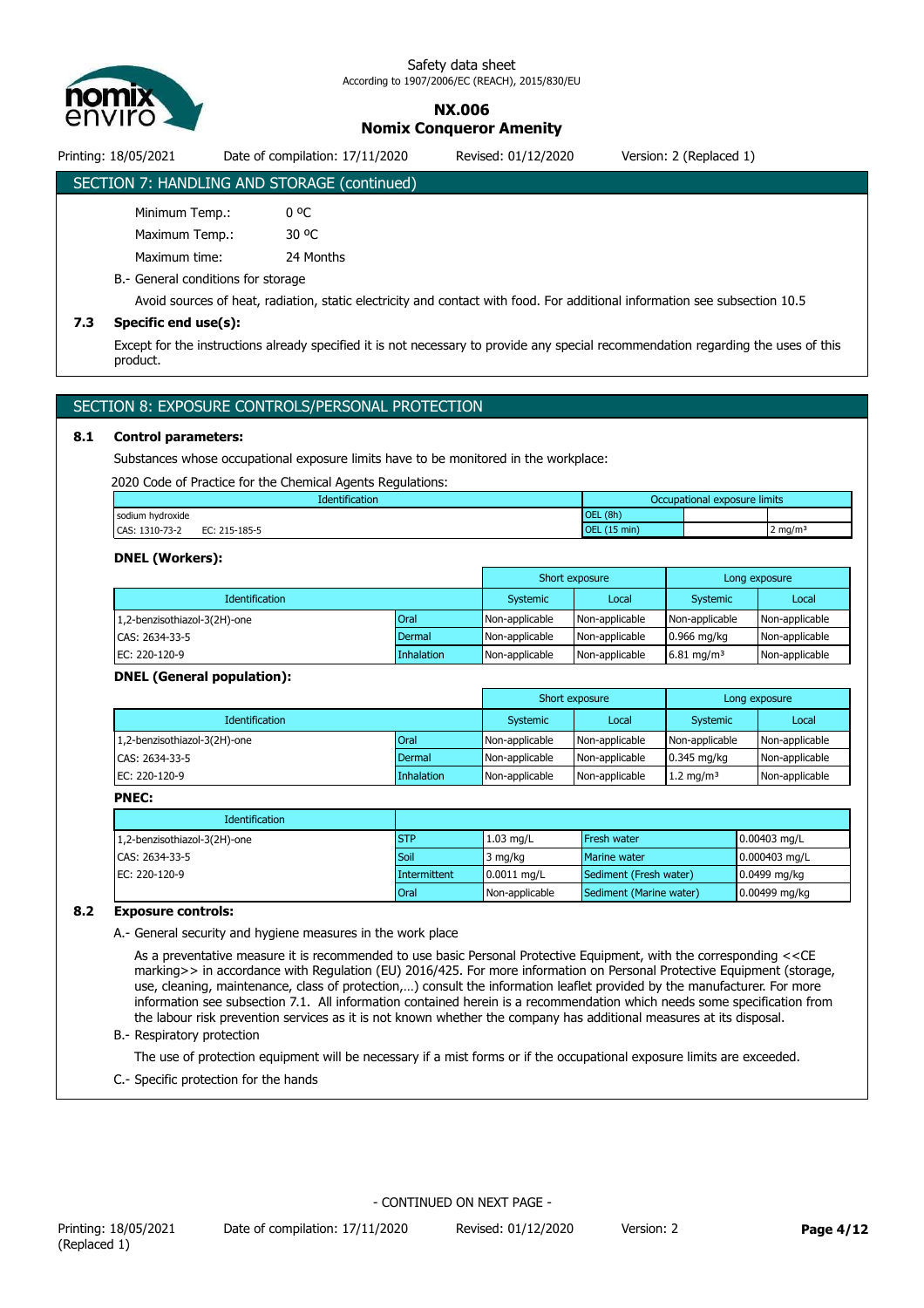

**NX.006 Nomix Conqueror Amenity**

Printing: 18/05/2021 Date of compilation: 17/11/2020 Revised: 01/12/2020 Version: 2 (Replaced 1)

### SECTION 7: HANDLING AND STORAGE (continued)

| Minimum Temp.: |           |
|----------------|-----------|
| Maximum Temp.: | 30 OC     |
| Maximum time:  | 24 Months |

B.- General conditions for storage

Avoid sources of heat, radiation, static electricity and contact with food. For additional information see subsection 10.5

#### **7.3 Specific end use(s):**

Except for the instructions already specified it is not necessary to provide any special recommendation regarding the uses of this product.

#### SECTION 8: EXPOSURE CONTROLS/PERSONAL PROTECTION

#### **8.1 Control parameters:**

Substances whose occupational exposure limits have to be monitored in the workplace:

2020 Code of Practice for the Chemical Agents Regulations:

| <b>Identification</b>           | Occupational exposure limits     |  |                    |
|---------------------------------|----------------------------------|--|--------------------|
| sodium hydroxide                | (8h)<br><b>OEL</b>               |  |                    |
| CAS: 1310-73-2<br>EC: 215-185-5 | $(15 \text{ min})$<br><b>OEL</b> |  | $2 \text{ mg/m}^3$ |

#### **DNEL (Workers):**

|                              |             |                | Short exposure |                        | Long exposure  |
|------------------------------|-------------|----------------|----------------|------------------------|----------------|
| <b>Identification</b>        |             | Systemic       | Local          | Systemic               | Local          |
| 1,2-benzisothiazol-3(2H)-one | <b>Oral</b> | Non-applicable | Non-applicable | Non-applicable         | Non-applicable |
| CAS: 2634-33-5               | Dermal      | Non-applicable | Non-applicable | $0.966$ mg/kg          | Non-applicable |
| EC: 220-120-9                | Inhalation  | Non-applicable | Non-applicable | 6.81 mg/m <sup>3</sup> | Non-applicable |

#### **DNEL (General population):**

|                              |             |                | Short exposure |                       | Long exposure  |
|------------------------------|-------------|----------------|----------------|-----------------------|----------------|
| <b>Identification</b>        |             | Systemic       | Local          | Systemic              | Local          |
| 1,2-benzisothiazol-3(2H)-one | <b>Oral</b> | Non-applicable | Non-applicable | Non-applicable        | Non-applicable |
| CAS: 2634-33-5               | Dermal      | Non-applicable | Non-applicable | 0.345 mg/kg           | Non-applicable |
| EC: 220-120-9                | Inhalation  | Non-applicable | Non-applicable | 1.2 mg/m <sup>3</sup> | Non-applicable |

#### **PNEC:**

| <b>Identification</b>        |               |                |                         |                      |
|------------------------------|---------------|----------------|-------------------------|----------------------|
| 1,2-benzisothiazol-3(2H)-one | <b>STP</b>    | $1.03$ mg/L    | <b>Fresh water</b>      | $0.00403$ mg/L       |
| CAS: 2634-33-5               | Soil          | 3 mg/kg        | Marine water            | $0.000403$ mg/L      |
| EC: 220-120-9                | Intermittent  | $0.0011$ mg/L  | Sediment (Fresh water)  | $\vert$ 0.0499 mg/kg |
|                              | <b>I</b> Oral | Non-applicable | Sediment (Marine water) | $0.00499$ mg/kg      |

#### **8.2 Exposure controls:**

A.- General security and hygiene measures in the work place

As a preventative measure it is recommended to use basic Personal Protective Equipment, with the corresponding <<CE marking>> in accordance with Regulation (EU) 2016/425. For more information on Personal Protective Equipment (storage, use, cleaning, maintenance, class of protection,…) consult the information leaflet provided by the manufacturer. For more information see subsection 7.1. All information contained herein is a recommendation which needs some specification from the labour risk prevention services as it is not known whether the company has additional measures at its disposal. B.- Respiratory protection

The use of protection equipment will be necessary if a mist forms or if the occupational exposure limits are exceeded.

C.- Specific protection for the hands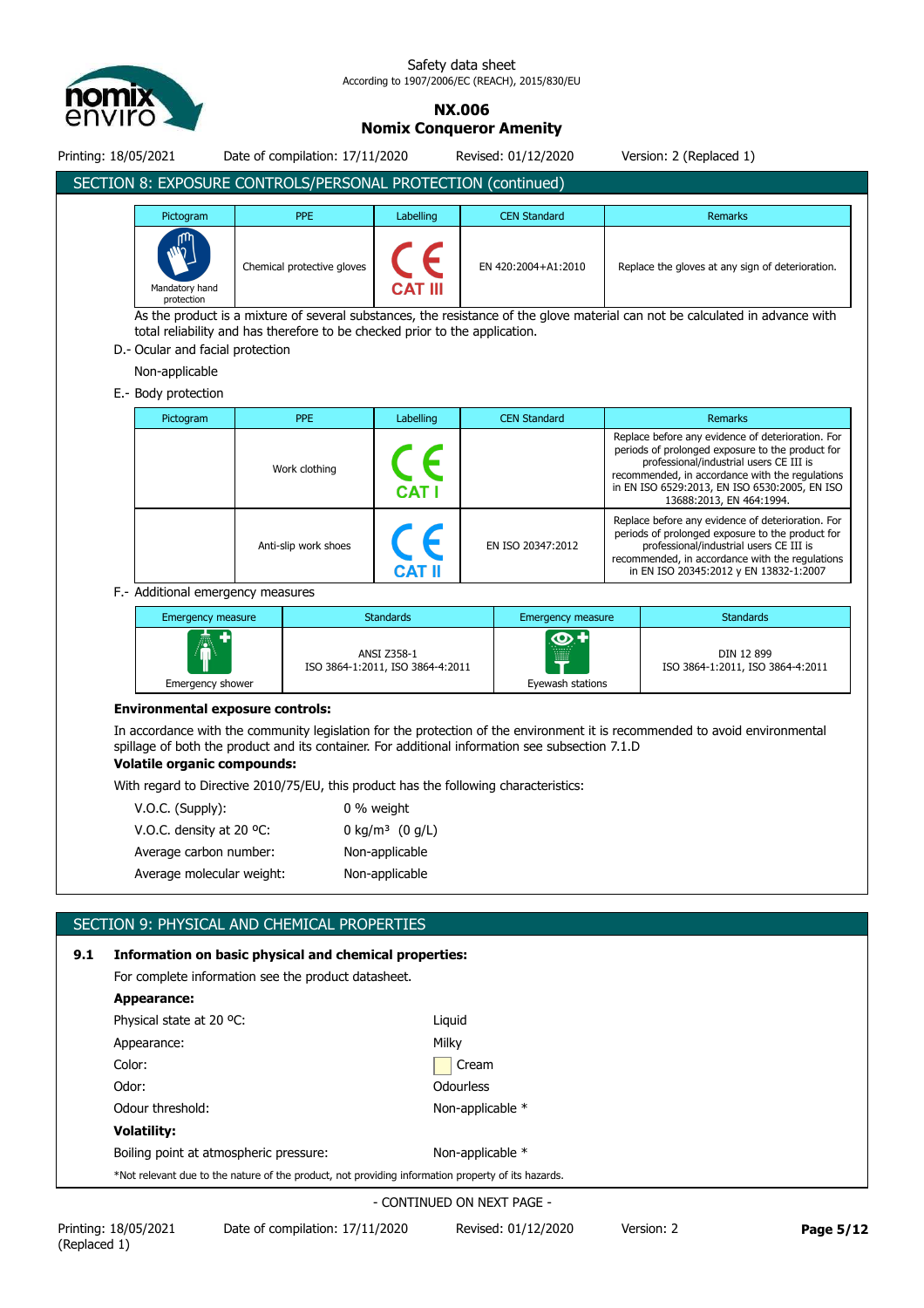

# **NX.006**

**Nomix Conqueror Amenity**

Printing: 18/05/2021 Date of compilation: 17/11/2020 Revised: 01/12/2020 Version: 2 (Replaced 1) SECTION 8: EXPOSURE CONTROLS/PERSONAL PROTECTION (continued) Pictogram **PRE Remarks PPE Labelling CEN Standard Property Remarks** Chemical protective gloves EN 420:2004+A1:2010 Replace the gloves at any sign of deterioration. Mandatory hand **CAT III** protection As the product is a mixture of several substances, the resistance of the glove material can not be calculated in advance with total reliability and has therefore to be checked prior to the application. D.- Ocular and facial protection Non-applicable E.- Body protection Pictogram **PPE** Remarks **PPE** Labelling CEN Standard **Remarks** Replace before any evidence of deterioration. For periods of prolonged exposure to the product for professional/industrial users CE III is Work clothing recommended, in accordance with the regulations in EN ISO 6529:2013, EN ISO 6530:2005, EN ISO **CATI** 13688:2013, EN 464:1994. Replace before any evidence of deterioration. For periods of prolonged exposure to the product for Anti-slip work shoes **EN ISO 20347:2012** professional/industrial users CE III is recommended, in accordance with the regulations in EN ISO 20345:2012 y EN 13832-1:2007 F.- Additional emergency measures Emergency measure **Emergency measure** Standards Emergency measure Standards  $\odot$  1 ANSI Z358-1 DIN 12 899 ISO 3864-1:2011, ISO 3864-4:2011 ISO 3864-1:2011, ISO 3864-4:2011 Emergency shower Eyewash stations **Environmental exposure controls:** In accordance with the community legislation for the protection of the environment it is recommended to avoid environmental spillage of both the product and its container. For additional information see subsection 7.1.D

#### **Volatile organic compounds:**

With regard to Directive 2010/75/EU, this product has the following characteristics:

| $V.O.C.$ (Supply):        | 0 % weight                    |
|---------------------------|-------------------------------|
| V.O.C. density at 20 °C.  | 0 kg/m <sup>3</sup> $(0 g/L)$ |
| Average carbon number:    | Non-applicable                |
| Average molecular weight: | Non-applicable                |

## SECTION 9: PHYSICAL AND CHEMICAL PROPERTIES

| 9.1 | Information on basic physical and chemical properties:                                             |                  |  |  |
|-----|----------------------------------------------------------------------------------------------------|------------------|--|--|
|     | For complete information see the product datasheet.                                                |                  |  |  |
|     | Appearance:                                                                                        |                  |  |  |
|     | Physical state at 20 °C:                                                                           | Liquid           |  |  |
|     | Appearance:                                                                                        | Milky            |  |  |
|     | Color:                                                                                             | Cream            |  |  |
|     | Odor:                                                                                              | <b>Odourless</b> |  |  |
|     | Odour threshold:                                                                                   | Non-applicable * |  |  |
|     | <b>Volatility:</b>                                                                                 |                  |  |  |
|     | Boiling point at atmospheric pressure:                                                             | Non-applicable * |  |  |
|     | *Not relevant due to the nature of the product, not providing information property of its hazards. |                  |  |  |
|     |                                                                                                    |                  |  |  |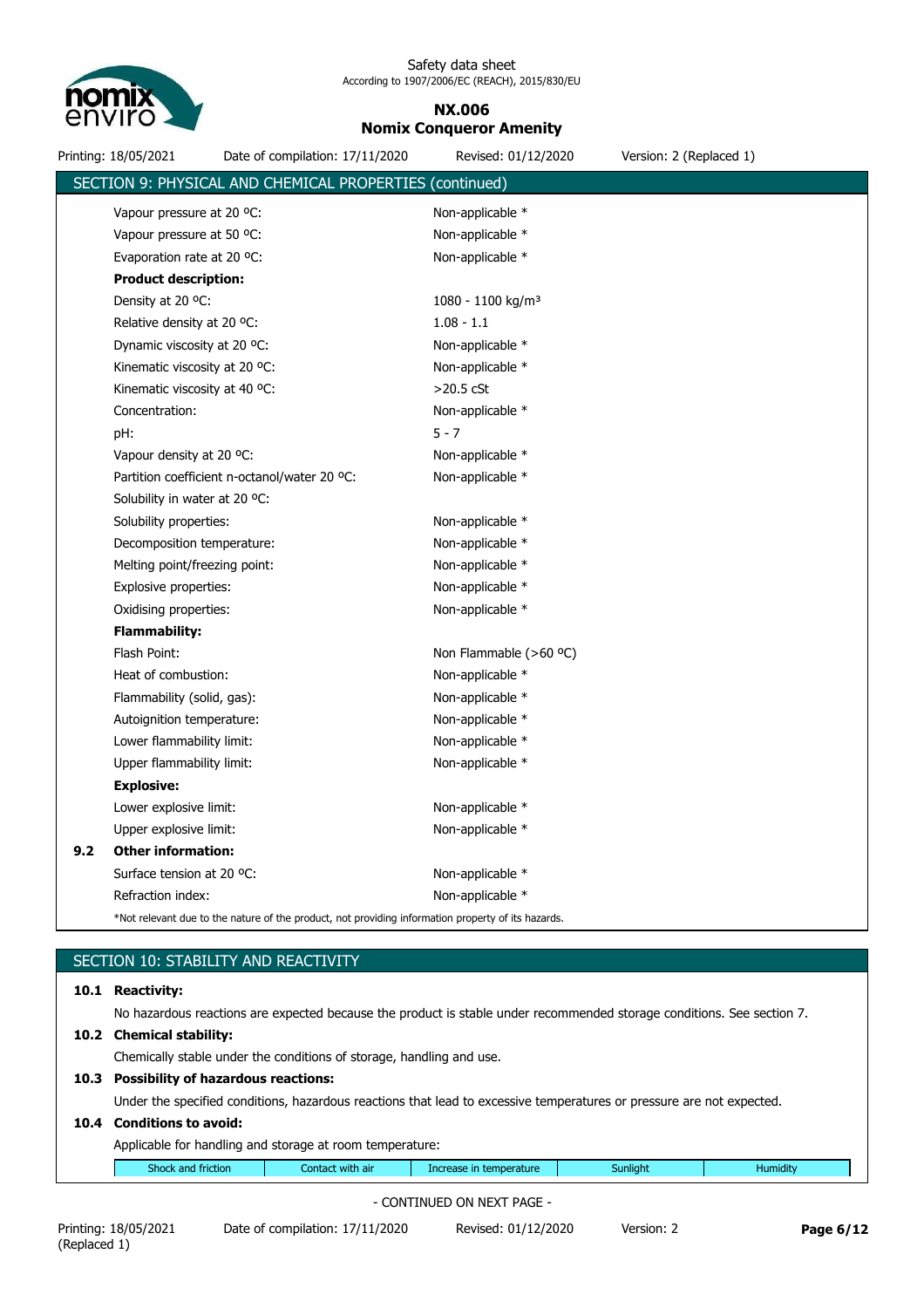

#### **NX.006 Nomix Conqueror Amenity**

|     | Printing: 18/05/2021          | Date of compilation: 17/11/2020                                                                    | Revised: 01/12/2020             | Version: 2 (Replaced 1) |
|-----|-------------------------------|----------------------------------------------------------------------------------------------------|---------------------------------|-------------------------|
|     |                               | SECTION 9: PHYSICAL AND CHEMICAL PROPERTIES (continued)                                            |                                 |                         |
|     | Vapour pressure at 20 °C:     |                                                                                                    | Non-applicable *                |                         |
|     | Vapour pressure at 50 °C:     |                                                                                                    | Non-applicable *                |                         |
|     | Evaporation rate at 20 °C:    |                                                                                                    | Non-applicable *                |                         |
|     | <b>Product description:</b>   |                                                                                                    |                                 |                         |
|     | Density at 20 °C:             |                                                                                                    | $1080 - 1100$ kg/m <sup>3</sup> |                         |
|     | Relative density at 20 °C:    |                                                                                                    | $1.08 - 1.1$                    |                         |
|     | Dynamic viscosity at 20 °C:   |                                                                                                    | Non-applicable *                |                         |
|     | Kinematic viscosity at 20 °C: |                                                                                                    | Non-applicable *                |                         |
|     | Kinematic viscosity at 40 °C: |                                                                                                    | $>20.5$ cSt                     |                         |
|     | Concentration:                |                                                                                                    | Non-applicable *                |                         |
|     | pH:                           |                                                                                                    | $5 - 7$                         |                         |
|     | Vapour density at 20 °C:      |                                                                                                    | Non-applicable *                |                         |
|     |                               | Partition coefficient n-octanol/water 20 °C:                                                       | Non-applicable *                |                         |
|     | Solubility in water at 20 °C: |                                                                                                    |                                 |                         |
|     | Solubility properties:        |                                                                                                    | Non-applicable *                |                         |
|     | Decomposition temperature:    |                                                                                                    | Non-applicable *                |                         |
|     | Melting point/freezing point: |                                                                                                    | Non-applicable *                |                         |
|     | Explosive properties:         |                                                                                                    | Non-applicable *                |                         |
|     | Oxidising properties:         |                                                                                                    | Non-applicable *                |                         |
|     | <b>Flammability:</b>          |                                                                                                    |                                 |                         |
|     | Flash Point:                  |                                                                                                    | Non Flammable (>60 °C)          |                         |
|     | Heat of combustion:           |                                                                                                    | Non-applicable *                |                         |
|     | Flammability (solid, gas):    |                                                                                                    | Non-applicable *                |                         |
|     | Autoignition temperature:     |                                                                                                    | Non-applicable *                |                         |
|     | Lower flammability limit:     |                                                                                                    | Non-applicable *                |                         |
|     | Upper flammability limit:     |                                                                                                    | Non-applicable *                |                         |
|     | <b>Explosive:</b>             |                                                                                                    |                                 |                         |
|     | Lower explosive limit:        |                                                                                                    | Non-applicable *                |                         |
|     | Upper explosive limit:        |                                                                                                    | Non-applicable *                |                         |
| 9.2 | <b>Other information:</b>     |                                                                                                    |                                 |                         |
|     | Surface tension at 20 °C:     |                                                                                                    | Non-applicable *                |                         |
|     | Refraction index:             |                                                                                                    | Non-applicable *                |                         |
|     |                               | *Not relevant due to the nature of the product, not providing information property of its hazards. |                                 |                         |

## SECTION 10: STABILITY AND REACTIVITY **10.1 Reactivity:** No hazardous reactions are expected because the product is stable under recommended storage conditions. See section 7. **10.2 Chemical stability:** Chemically stable under the conditions of storage, handling and use. **10.3 Possibility of hazardous reactions:** Under the specified conditions, hazardous reactions that lead to excessive temperatures or pressure are not expected. **10.4 Conditions to avoid:** Applicable for handling and storage at room temperature: Shock and friction **Contact with air** Increase in temperature Sunlight Humidity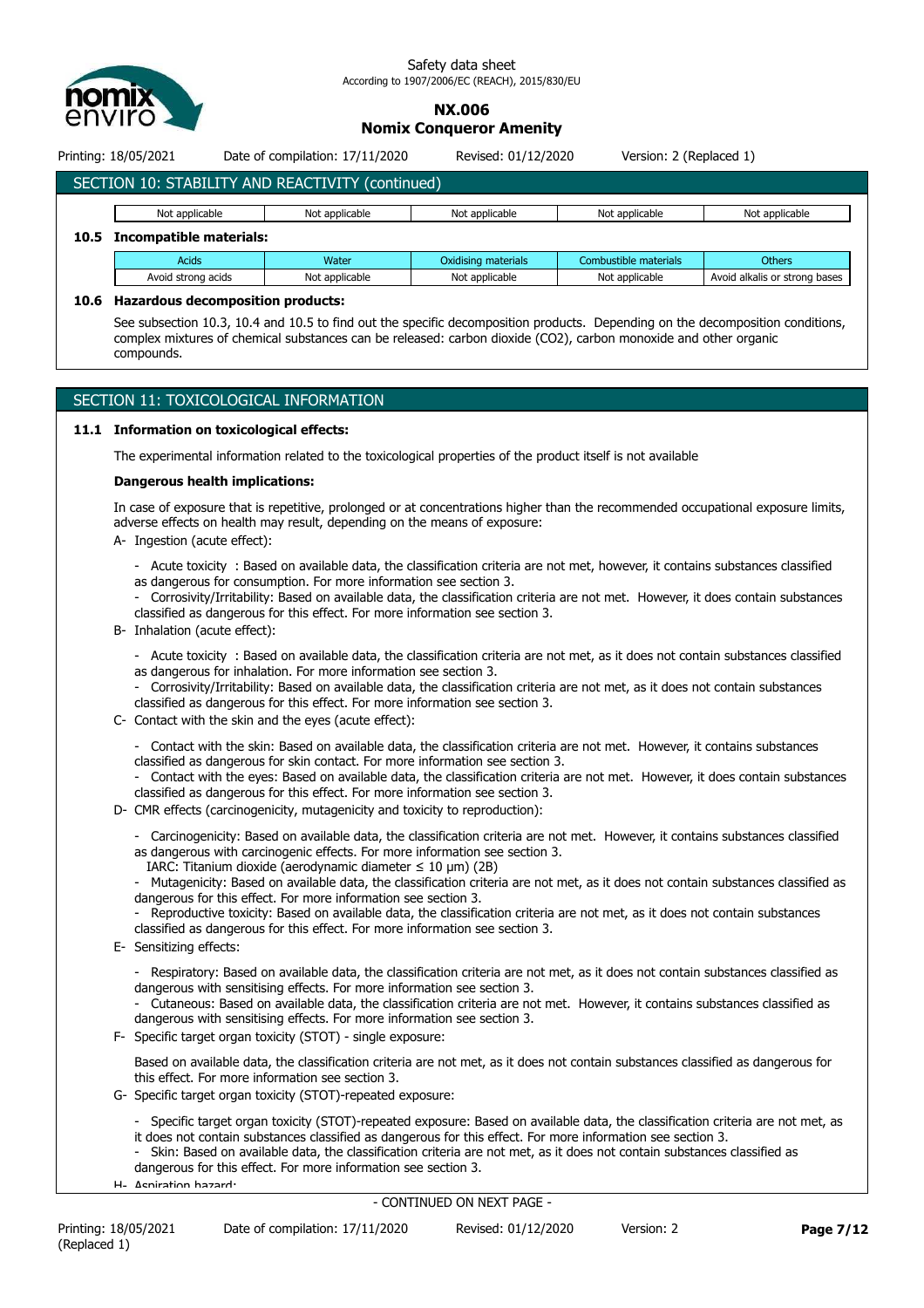

#### **NX.006 Nomix Conqueror Amenity**

Printing: 18/05/2021 Date of compilation: 17/11/2020 Revised: 01/12/2020 Version: 2 (Replaced 1)

## SECTION 10: STABILITY AND REACTIVITY (continued)

|                                                                                 | Not applicable<br>Not applicable<br>Not applicable<br>Not applicable<br>Not applicable |                |                |                |                               |  |  |  |  |
|---------------------------------------------------------------------------------|----------------------------------------------------------------------------------------|----------------|----------------|----------------|-------------------------------|--|--|--|--|
| 10.5                                                                            | Incompatible materials:                                                                |                |                |                |                               |  |  |  |  |
| Combustible materials<br>Oxidising materials<br><b>Others</b><br>Acids<br>Water |                                                                                        |                |                |                |                               |  |  |  |  |
|                                                                                 | Avoid strong acids                                                                     | Not applicable | Not applicable | Not applicable | Avoid alkalis or strong bases |  |  |  |  |

#### **10.6 Hazardous decomposition products:**

See subsection 10.3, 10.4 and 10.5 to find out the specific decomposition products. Depending on the decomposition conditions, complex mixtures of chemical substances can be released: carbon dioxide (CO2), carbon monoxide and other organic compounds.

#### SECTION 11: TOXICOLOGICAL INFORMATION

#### **11.1 Information on toxicological effects:**

The experimental information related to the toxicological properties of the product itself is not available

#### **Dangerous health implications:**

In case of exposure that is repetitive, prolonged or at concentrations higher than the recommended occupational exposure limits, adverse effects on health may result, depending on the means of exposure:

- A- Ingestion (acute effect):
	- Acute toxicity : Based on available data, the classification criteria are not met, however, it contains substances classified as dangerous for consumption. For more information see section 3.

- Corrosivity/Irritability: Based on available data, the classification criteria are not met. However, it does contain substances classified as dangerous for this effect. For more information see section 3.

B- Inhalation (acute effect):

- Acute toxicity : Based on available data, the classification criteria are not met, as it does not contain substances classified as dangerous for inhalation. For more information see section 3.

- Corrosivity/Irritability: Based on available data, the classification criteria are not met, as it does not contain substances classified as dangerous for this effect. For more information see section 3.
- C- Contact with the skin and the eyes (acute effect):
	- Contact with the skin: Based on available data, the classification criteria are not met. However, it contains substances classified as dangerous for skin contact. For more information see section 3.
	- Contact with the eyes: Based on available data, the classification criteria are not met. However, it does contain substances classified as dangerous for this effect. For more information see section 3.
- D- CMR effects (carcinogenicity, mutagenicity and toxicity to reproduction):
	- Carcinogenicity: Based on available data, the classification criteria are not met. However, it contains substances classified as dangerous with carcinogenic effects. For more information see section 3.
	- IARC: Titanium dioxide (aerodynamic diameter  $\leq 10$  µm) (2B)

Mutagenicity: Based on available data, the classification criteria are not met, as it does not contain substances classified as dangerous for this effect. For more information see section 3.

Reproductive toxicity: Based on available data, the classification criteria are not met, as it does not contain substances classified as dangerous for this effect. For more information see section 3.

- E- Sensitizing effects:
	- Respiratory: Based on available data, the classification criteria are not met, as it does not contain substances classified as dangerous with sensitising effects. For more information see section 3.
	- Cutaneous: Based on available data, the classification criteria are not met. However, it contains substances classified as dangerous with sensitising effects. For more information see section 3.
- F- Specific target organ toxicity (STOT) single exposure:

Based on available data, the classification criteria are not met, as it does not contain substances classified as dangerous for this effect. For more information see section 3.

- G- Specific target organ toxicity (STOT)-repeated exposure:
	- Specific target organ toxicity (STOT)-repeated exposure: Based on available data, the classification criteria are not met, as it does not contain substances classified as dangerous for this effect. For more information see section 3.
	- Skin: Based on available data, the classification criteria are not met, as it does not contain substances classified as dangerous for this effect. For more information see section 3.
- H- Aspiration hazard: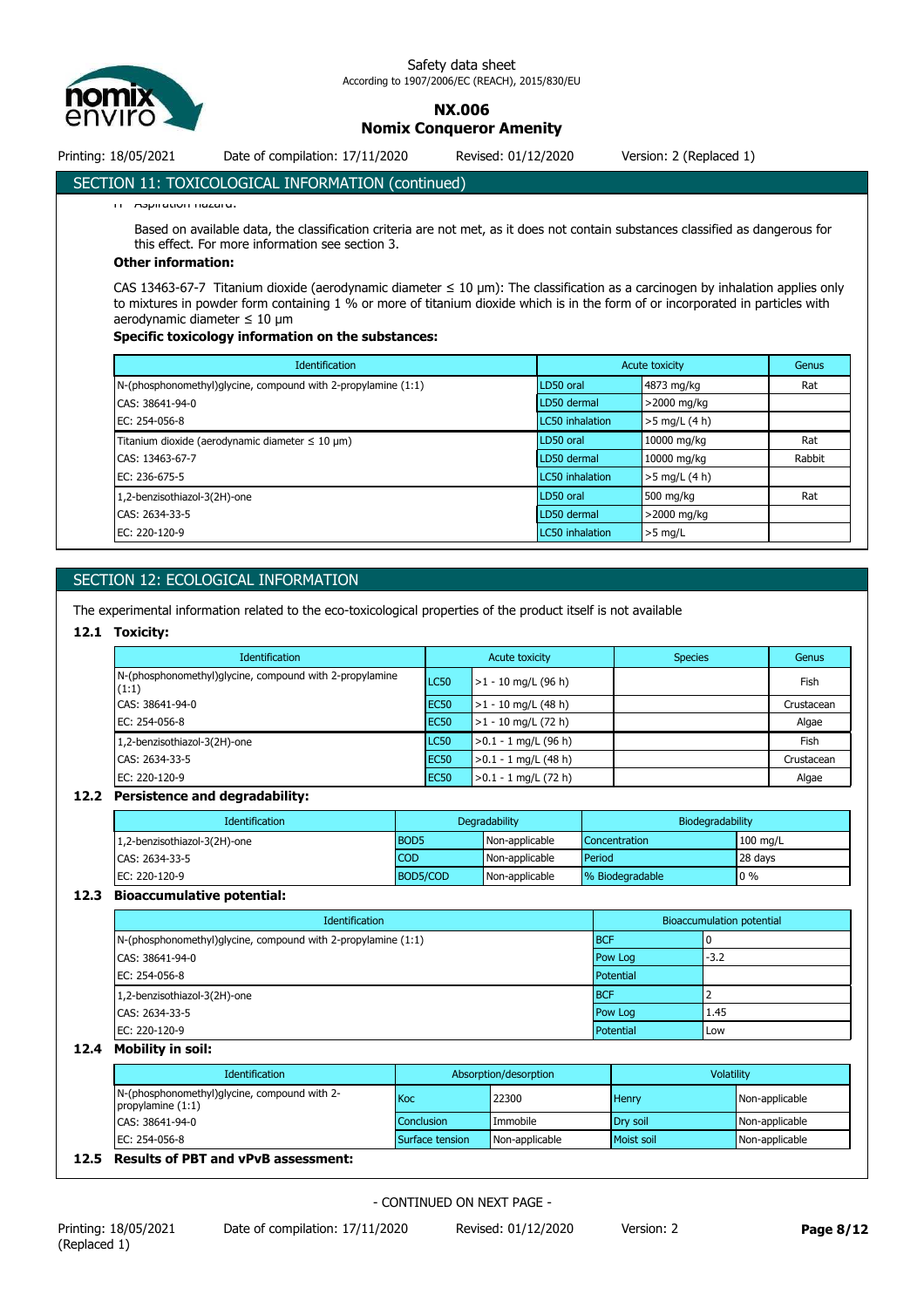

**NX.006**

**Nomix Conqueror Amenity**

Printing: 18/05/2021 Date of compilation: 17/11/2020 Revised: 01/12/2020 Version: 2 (Replaced 1)

#### SECTION 11: TOXICOLOGICAL INFORMATION (continued)

H- Aspiration hazard:

Based on available data, the classification criteria are not met, as it does not contain substances classified as dangerous for this effect. For more information see section 3.

#### **Other information:**

CAS 13463-67-7 Titanium dioxide (aerodynamic diameter ≤ 10 μm): The classification as a carcinogen by inhalation applies only to mixtures in powder form containing 1 % or more of titanium dioxide which is in the form of or incorporated in particles with aerodynamic diameter ≤ 10 μm

#### **Specific toxicology information on the substances:**

| <b>Identification</b>                                                  | Acute toxicity         |                 | Genus  |
|------------------------------------------------------------------------|------------------------|-----------------|--------|
| $N$ -(phosphonomethyl)glycine, compound with 2-propylamine $(1:1)$     | LD50 oral              | 4873 mg/kg      | Rat    |
| CAS: 38641-94-0                                                        | LD50 dermal            | >2000 mg/kg     |        |
| EC: 254-056-8                                                          | <b>LC50</b> inhalation | $>5$ mg/L (4 h) |        |
| Titanium dioxide (aerodynamic diameter $\leq 10 \text{ }\mu\text{m}$ ) | LD50 oral              | 10000 mg/kg     | Rat    |
| CAS: 13463-67-7                                                        | LD50 dermal            | 10000 mg/kg     | Rabbit |
| EC: 236-675-5                                                          | <b>LC50</b> inhalation | $>5$ mg/L (4 h) |        |
| 1,2-benzisothiazol-3(2H)-one                                           | LD50 oral              | 500 mg/kg       | Rat    |
| CAS: 2634-33-5                                                         | LD50 dermal            | >2000 mg/kg     |        |
| EC: 220-120-9                                                          | <b>LC50</b> inhalation | $>5$ mg/L       |        |

#### SECTION 12: ECOLOGICAL INFORMATION

The experimental information related to the eco-toxicological properties of the product itself is not available

#### **12.1 Toxicity:**

| <b>Identification</b>                                             | Acute toxicity   |                        | <b>Species</b> | Genus      |
|-------------------------------------------------------------------|------------------|------------------------|----------------|------------|
| N-(phosphonomethyl) glycine, compound with 2-propylamine<br>(1:1) | LC50             | $>1 - 10$ mg/L (96 h)  |                | Fish       |
| CAS: 38641-94-0                                                   | EC <sub>50</sub> | $>1 - 10$ mg/L (48 h)  |                | Crustacean |
| EC: 254-056-8                                                     | EC <sub>50</sub> | $>1 - 10$ mg/L (72 h)  |                | Algae      |
| 1,2-benzisothiazol-3(2H)-one                                      | LC50             | $>0.1 - 1$ mg/L (96 h) |                | Fish       |
| CAS: 2634-33-5                                                    | EC <sub>50</sub> | $>0.1 - 1$ mg/L (48 h) |                | Crustacean |
| EC: 220-120-9                                                     | EC <sub>50</sub> | $>0.1 - 1$ mg/L (72 h) |                | Algae      |

#### **12.2 Persistence and degradability:**

| <b>Identification</b>        | Degradability |                | Biodegradability |                    |
|------------------------------|---------------|----------------|------------------|--------------------|
| 1,2-benzisothiazol-3(2H)-one | <b>BOD5</b>   | Non-applicable | Concentration    | $100 \text{ mg/L}$ |
| CAS: 2634-33-5               | <b>COD</b>    | Non-applicable | Period           | 28 days            |
| EC: 220-120-9                | BOD5/COD      | Non-applicable | % Biodegradable  | $0\%$              |

#### **12.3 Bioaccumulative potential:**

| Identification                                                     | <b>Bioaccumulation potential</b> |        |
|--------------------------------------------------------------------|----------------------------------|--------|
| $N$ -(phosphonomethyl)glycine, compound with 2-propylamine $(1:1)$ | <b>BCF</b>                       |        |
| CAS: 38641-94-0                                                    | Pow Log                          | $-3.2$ |
| EC: 254-056-8                                                      | Potential                        |        |
| 1,2-benzisothiazol-3(2H)-one                                       | <b>BCF</b>                       |        |
| CAS: 2634-33-5                                                     | Pow Log                          | 1.45   |
| EC: 220-120-9                                                      | Potential                        | Low    |

#### **12.4 Mobility in soil:**

| Identification                                                      | Absorption/desorption |                | Volatility   |                |
|---------------------------------------------------------------------|-----------------------|----------------|--------------|----------------|
| N-(phosphonomethyl)glycine, compound with 2-<br>propylamine $(1:1)$ | <b>Koc</b>            | 22300          | <b>Henry</b> | Non-applicable |
| CAS: 38641-94-0                                                     | Conclusion            | Immobile       | Drv soil     | Non-applicable |
| EC: 254-056-8                                                       | Surface tension       | Non-applicable | Moist soil   | Non-applicable |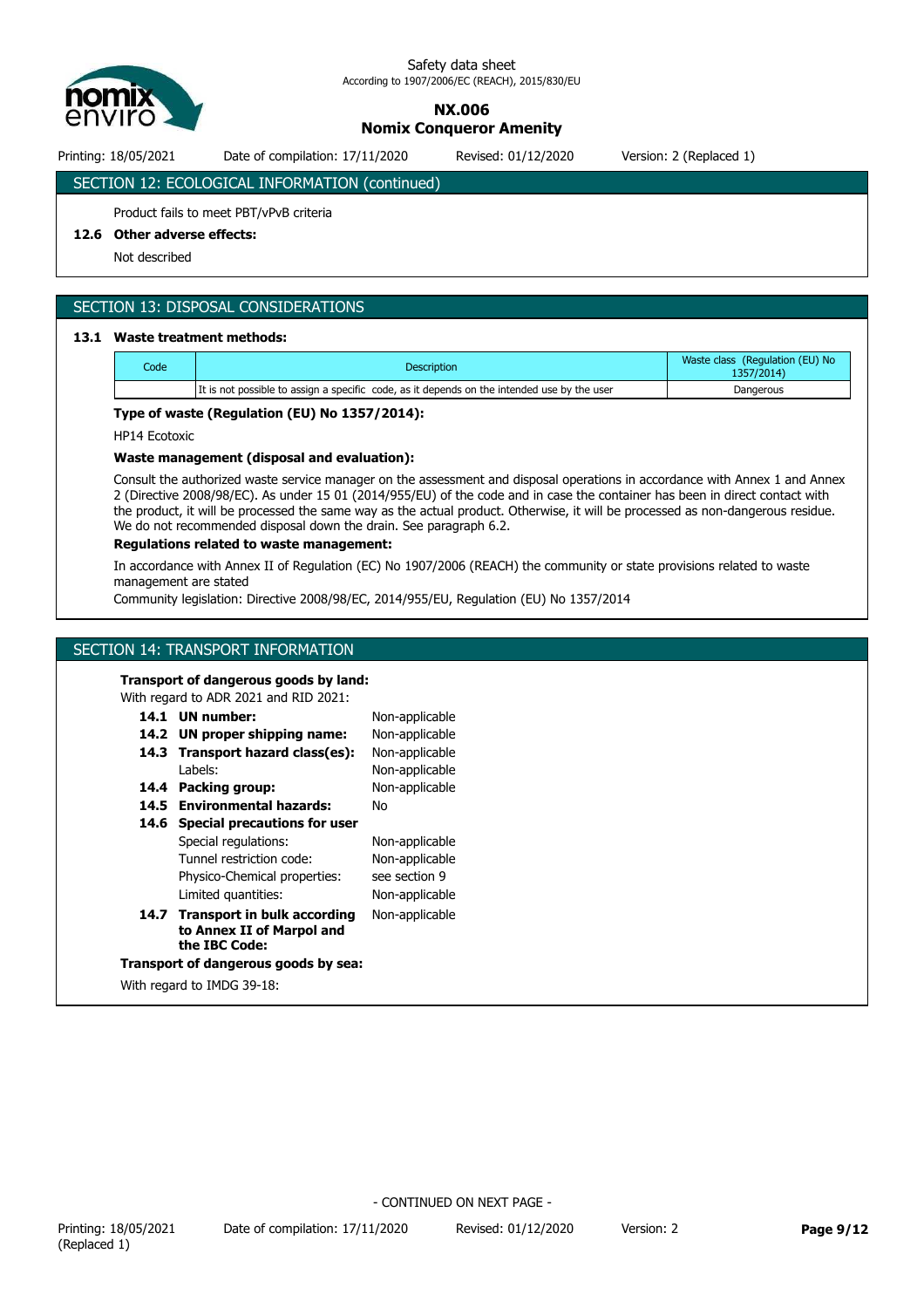

## **NX.006**

**Nomix Conqueror Amenity**

Printing: 18/05/2021 Date of compilation: 17/11/2020 Revised: 01/12/2020 Version: 2 (Replaced 1)

## SECTION 12: ECOLOGICAL INFORMATION (continued)

#### Product fails to meet PBT/vPvB criteria

#### **12.6 Other adverse effects:**

Not described

#### SECTION 13: DISPOSAL CONSIDERATIONS

#### **13.1 Waste treatment methods:**

| Code | <b>Description</b>                                                                          | Waste class (Regulation (EU) No<br>1357/2014) |
|------|---------------------------------------------------------------------------------------------|-----------------------------------------------|
|      | It is not possible to assign a specific code, as it depends on the intended use by the user | Dangerous                                     |

#### **Type of waste (Regulation (EU) No 1357/2014):**

HP14 Ecotoxic

#### **Waste management (disposal and evaluation):**

Consult the authorized waste service manager on the assessment and disposal operations in accordance with Annex 1 and Annex 2 (Directive 2008/98/EC). As under 15 01 (2014/955/EU) of the code and in case the container has been in direct contact with the product, it will be processed the same way as the actual product. Otherwise, it will be processed as non-dangerous residue. We do not recommended disposal down the drain. See paragraph 6.2.

#### **Regulations related to waste management:**

In accordance with Annex II of Regulation (EC) No 1907/2006 (REACH) the community or state provisions related to waste management are stated

Community legislation: Directive 2008/98/EC, 2014/955/EU, Regulation (EU) No 1357/2014

Non-applicable

#### SECTION 14: TRANSPORT INFORMATION

#### **Transport of dangerous goods by land:**

With regard to ADR 2021 and RID 2021:

### **14.1 UN number:**

|      | 14.2 UN proper shipping name:                                                  | Non-applicable |
|------|--------------------------------------------------------------------------------|----------------|
|      | 14.3 Transport hazard class(es):                                               | Non-applicable |
|      | Labels:                                                                        | Non-applicable |
|      | 14.4 Packing group:                                                            | Non-applicable |
|      | 14.5 Environmental hazards:                                                    | No             |
| 14.6 | <b>Special precautions for user</b>                                            |                |
|      | Special regulations:                                                           | Non-applicable |
|      | Tunnel restriction code:                                                       | Non-applicable |
|      | Physico-Chemical properties:                                                   | see section 9  |
|      | Limited quantities:                                                            | Non-applicable |
|      | 14.7 Transport in bulk according<br>to Annex II of Marpol and<br>the IBC Code: | Non-applicable |
|      | Transport of dangerous goods by sea:                                           |                |
|      | With regard to IMDG 39-18:                                                     |                |
|      |                                                                                |                |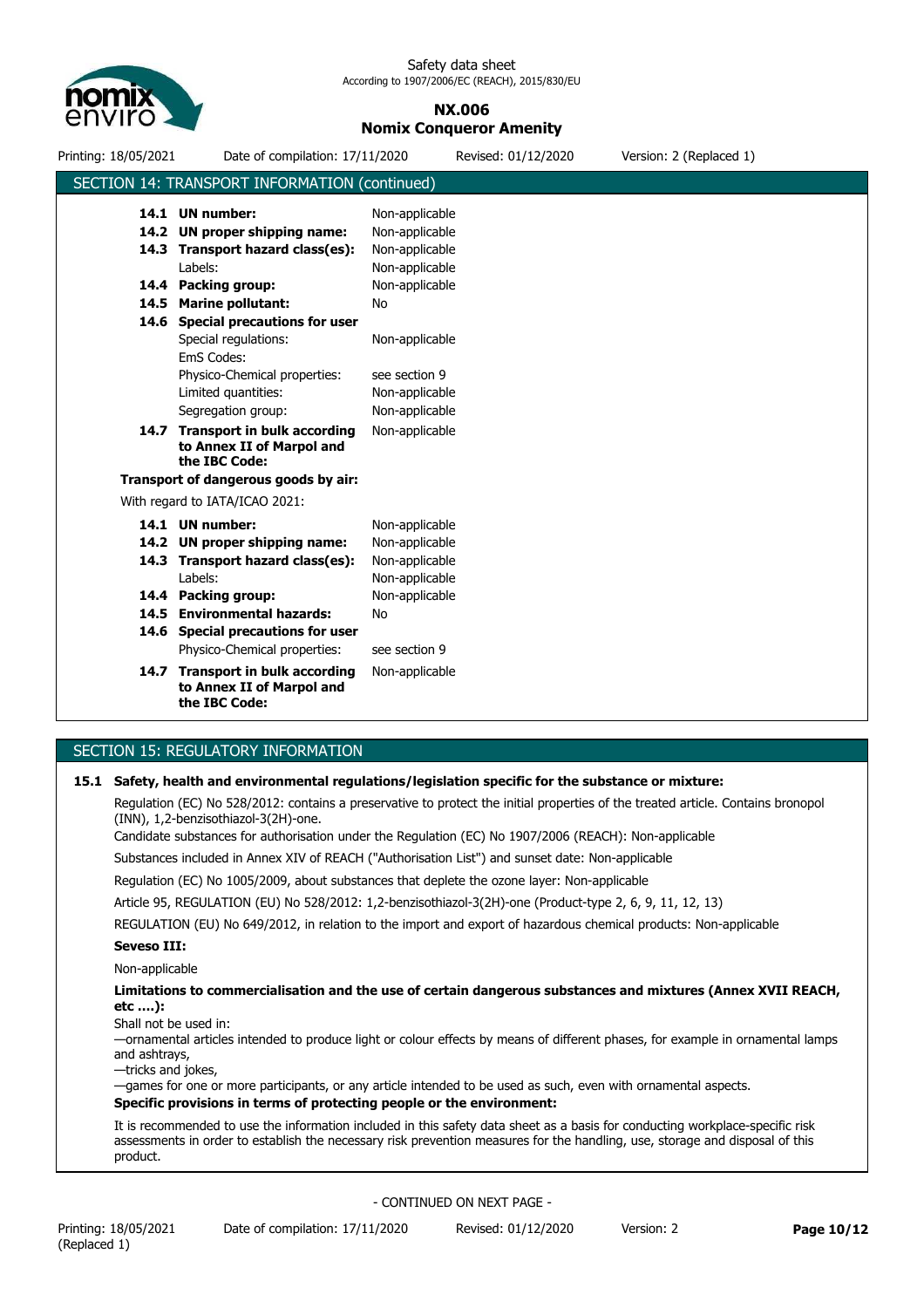

#### **NX.006 Nomix Conqueror Amenity**

| Printing: 18/05/2021 | Date of compilation: 17/11/2020                                                                                                   |                                                                      | Revised: 01/12/2020 | Version: 2 (Replaced 1) |
|----------------------|-----------------------------------------------------------------------------------------------------------------------------------|----------------------------------------------------------------------|---------------------|-------------------------|
|                      | SECTION 14: TRANSPORT INFORMATION (continued)                                                                                     |                                                                      |                     |                         |
|                      | 14.1 UN number:<br>14.2 UN proper shipping name:                                                                                  | Non-applicable<br>Non-applicable                                     |                     |                         |
|                      | 14.3 Transport hazard class(es):<br>Labels:                                                                                       | Non-applicable<br>Non-applicable                                     |                     |                         |
|                      | 14.4 Packing group:                                                                                                               | Non-applicable                                                       |                     |                         |
|                      | 14.5 Marine pollutant:<br>14.6 Special precautions for user<br>Special regulations:<br>EmS Codes:<br>Physico-Chemical properties: | No<br>Non-applicable<br>see section 9                                |                     |                         |
|                      | Limited quantities:<br>Segregation group:                                                                                         | Non-applicable<br>Non-applicable                                     |                     |                         |
|                      | 14.7 Transport in bulk according<br>to Annex II of Marpol and<br>the IBC Code:                                                    | Non-applicable                                                       |                     |                         |
|                      | Transport of dangerous goods by air:                                                                                              |                                                                      |                     |                         |
|                      | With regard to IATA/ICAO 2021:                                                                                                    |                                                                      |                     |                         |
|                      | 14.1 UN number:<br>14.2 UN proper shipping name:<br>14.3 Transport hazard class(es):<br>Labels:                                   | Non-applicable<br>Non-applicable<br>Non-applicable<br>Non-applicable |                     |                         |
|                      | 14.4 Packing group:<br>14.5 Environmental hazards:<br>14.6 Special precautions for user<br>Physico-Chemical properties:           | Non-applicable<br>No<br>see section 9                                |                     |                         |
|                      | 14.7 Transport in bulk according<br>to Annex II of Marpol and<br>the IBC Code:                                                    | Non-applicable                                                       |                     |                         |

#### SECTION 15: REGULATORY INFORMATION

#### **15.1 Safety, health and environmental regulations/legislation specific for the substance or mixture:**

Regulation (EC) No 528/2012: contains a preservative to protect the initial properties of the treated article. Contains bronopol (INN), 1,2-benzisothiazol-3(2H)-one.

Candidate substances for authorisation under the Regulation (EC) No 1907/2006 (REACH): Non-applicable

Substances included in Annex XIV of REACH ("Authorisation List") and sunset date: Non-applicable

Regulation (EC) No 1005/2009, about substances that deplete the ozone layer: Non-applicable

Article 95, REGULATION (EU) No 528/2012: 1,2-benzisothiazol-3(2H)-one (Product-type 2, 6, 9, 11, 12, 13)

REGULATION (EU) No 649/2012, in relation to the import and export of hazardous chemical products: Non-applicable

#### **Seveso III:**

Non-applicable

**Limitations to commercialisation and the use of certain dangerous substances and mixtures (Annex XVII REACH, etc ….):**

Shall not be used in:

—ornamental articles intended to produce light or colour effects by means of different phases, for example in ornamental lamps and ashtrays,

—tricks and jokes,

—games for one or more participants, or any article intended to be used as such, even with ornamental aspects. **Specific provisions in terms of protecting people or the environment:**

It is recommended to use the information included in this safety data sheet as a basis for conducting workplace-specific risk assessments in order to establish the necessary risk prevention measures for the handling, use, storage and disposal of this product.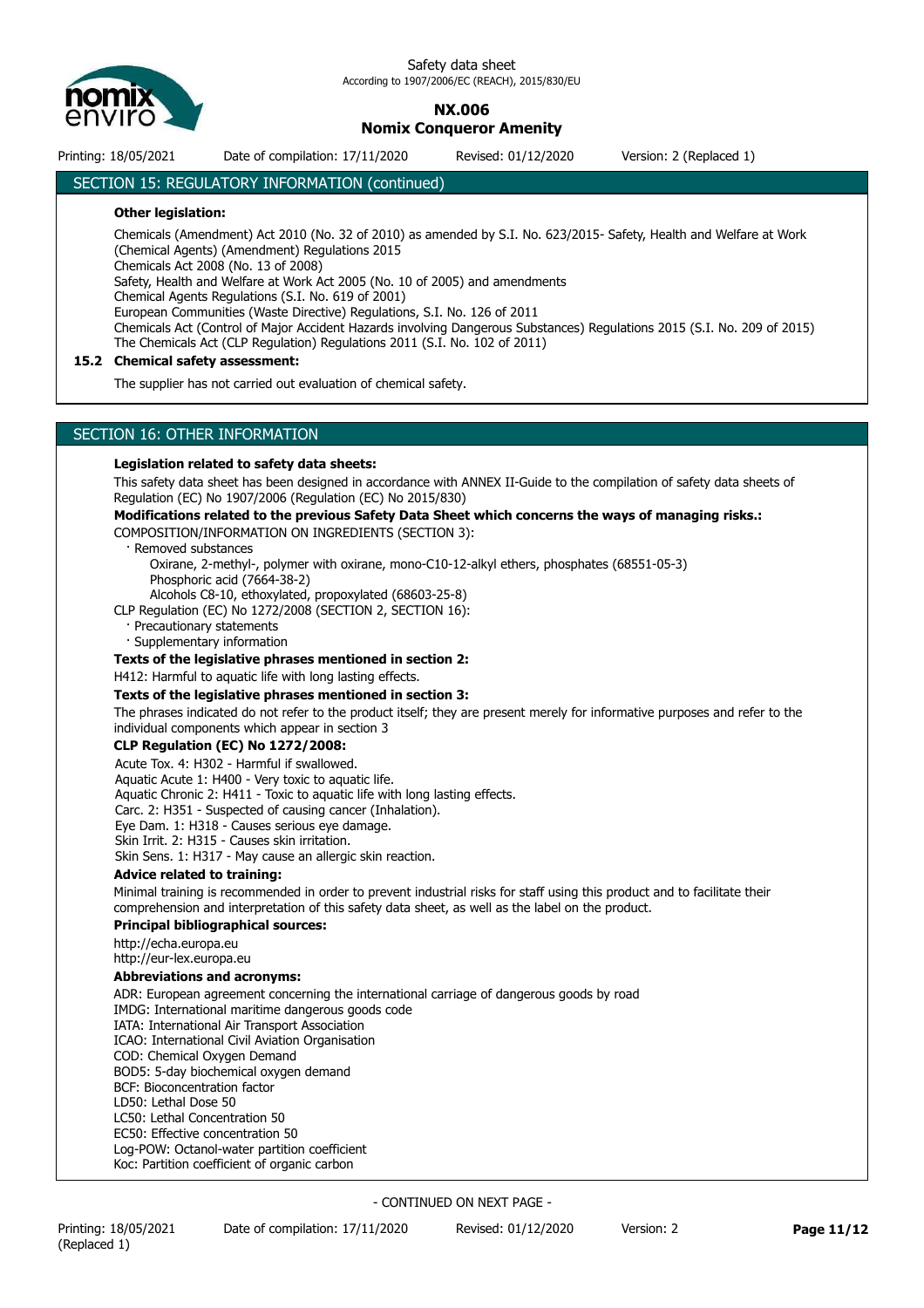

### **NX.006**

## **Nomix Conqueror Amenity**

Printing: 18/05/2021 Date of compilation: 17/11/2020 Revised: 01/12/2020 Version: 2 (Replaced 1)

#### SECTION 15: REGULATORY INFORMATION (continued)

#### **Other legislation:**

Chemicals (Amendment) Act 2010 (No. 32 of 2010) as amended by S.I. No. 623/2015- Safety, Health and Welfare at Work (Chemical Agents) (Amendment) Regulations 2015

Chemicals Act 2008 (No. 13 of 2008)

Safety, Health and Welfare at Work Act 2005 (No. 10 of 2005) and amendments

Chemical Agents Regulations (S.I. No. 619 of 2001)

European Communities (Waste Directive) Regulations, S.I. No. 126 of 2011

Chemicals Act (Control of Major Accident Hazards involving Dangerous Substances) Regulations 2015 (S.I. No. 209 of 2015) The Chemicals Act (CLP Regulation) Regulations 2011 (S.I. No. 102 of 2011)

#### **15.2 Chemical safety assessment:**

The supplier has not carried out evaluation of chemical safety.

#### SECTION 16: OTHER INFORMATION

#### **Legislation related to safety data sheets:**

This safety data sheet has been designed in accordance with ANNEX II-Guide to the compilation of safety data sheets of Regulation (EC) No 1907/2006 (Regulation (EC) No 2015/830)

**Modifications related to the previous Safety Data Sheet which concerns the ways of managing risks.:** COMPOSITION/INFORMATION ON INGREDIENTS (SECTION 3):

· Removed substances

 Oxirane, 2-methyl-, polymer with oxirane, mono-C10-12-alkyl ethers, phosphates (68551-05-3) Phosphoric acid (7664-38-2)

Alcohols C8-10, ethoxylated, propoxylated (68603-25-8)

CLP Regulation (EC) No 1272/2008 (SECTION 2, SECTION 16):

Precautionary statements

· Supplementary information

**Texts of the legislative phrases mentioned in section 2:**

H412: Harmful to aquatic life with long lasting effects.

#### **Texts of the legislative phrases mentioned in section 3:**

The phrases indicated do not refer to the product itself; they are present merely for informative purposes and refer to the individual components which appear in section 3

#### **CLP Regulation (EC) No 1272/2008:**

Acute Tox. 4: H302 - Harmful if swallowed. Aquatic Acute 1: H400 - Very toxic to aquatic life. Aquatic Chronic 2: H411 - Toxic to aquatic life with long lasting effects. Carc. 2: H351 - Suspected of causing cancer (Inhalation). Eye Dam. 1: H318 - Causes serious eye damage. Skin Irrit. 2: H315 - Causes skin irritation. Skin Sens. 1: H317 - May cause an allergic skin reaction.

#### **Advice related to training:**

Minimal training is recommended in order to prevent industrial risks for staff using this product and to facilitate their comprehension and interpretation of this safety data sheet, as well as the label on the product.

#### **Principal bibliographical sources:**

http://echa.europa.eu

## http://eur-lex.europa.eu

#### **Abbreviations and acronyms:**

ADR: European agreement concerning the international carriage of dangerous goods by road IMDG: International maritime dangerous goods code IATA: International Air Transport Association

ICAO: International Civil Aviation Organisation

COD: Chemical Oxygen Demand BOD5: 5-day biochemical oxygen demand

BCF: Bioconcentration factor

LD50: Lethal Dose 50

LC50: Lethal Concentration 50

EC50: Effective concentration 50

Log-POW: Octanol-water partition coefficient

Koc: Partition coefficient of organic carbon